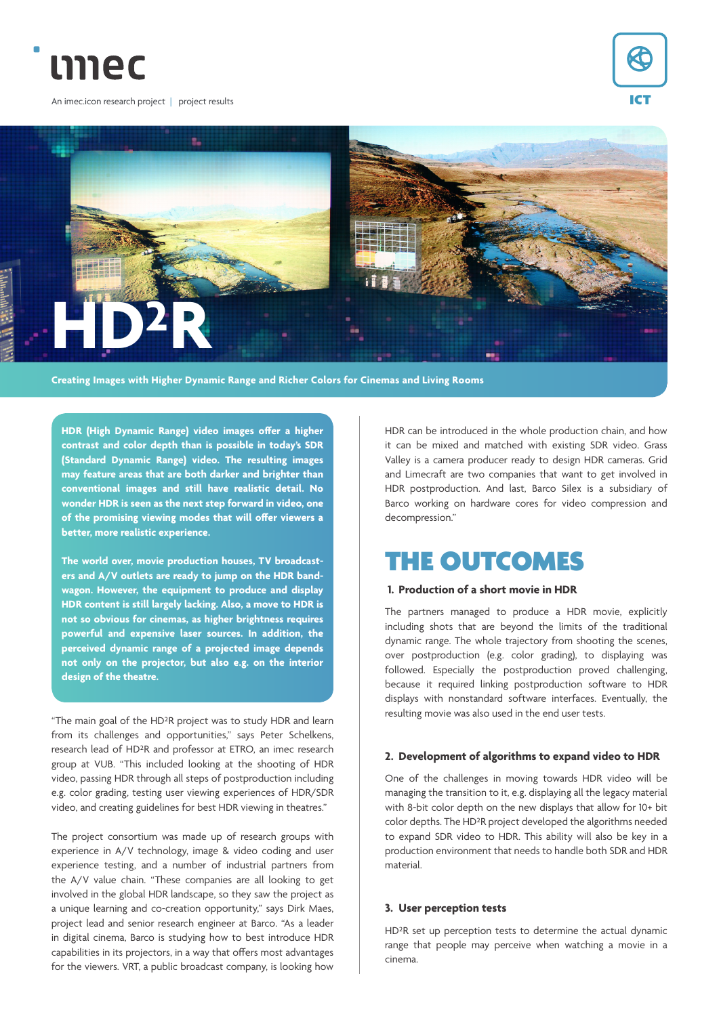

An imec.icon research project | project results





**Creating Images with Higher Dynamic Range and Richer Colors for Cinemas and Living Rooms**

**HDR (High Dynamic Range) video images offer a higher contrast and color depth than is possible in today's SDR (Standard Dynamic Range) video. The resulting images may feature areas that are both darker and brighter than conventional images and still have realistic detail. No wonder HDR is seen as the next step forward in video, one of the promising viewing modes that will offer viewers a better, more realistic experience.** 

**The world over, movie production houses, TV broadcasters and A/V outlets are ready to jump on the HDR bandwagon. However, the equipment to produce and display HDR content is still largely lacking. Also, a move to HDR is not so obvious for cinemas, as higher brightness requires powerful and expensive laser sources. In addition, the perceived dynamic range of a projected image depends not only on the projector, but also e.g. on the interior design of the theatre.**

"The main goal of the HD²R project was to study HDR and learn from its challenges and opportunities," says Peter Schelkens, research lead of HD²R and professor at ETRO, an imec research group at VUB. "This included looking at the shooting of HDR video, passing HDR through all steps of postproduction including e.g. color grading, testing user viewing experiences of HDR/SDR video, and creating guidelines for best HDR viewing in theatres."

The project consortium was made up of research groups with experience in A/V technology, image & video coding and user experience testing, and a number of industrial partners from the A/V value chain. "These companies are all looking to get involved in the global HDR landscape, so they saw the project as a unique learning and co-creation opportunity," says Dirk Maes, project lead and senior research engineer at Barco. "As a leader in digital cinema, Barco is studying how to best introduce HDR capabilities in its projectors, in a way that offers most advantages for the viewers. VRT, a public broadcast company, is looking how

HDR can be introduced in the whole production chain, and how it can be mixed and matched with existing SDR video. Grass Valley is a camera producer ready to design HDR cameras. Grid and Limecraft are two companies that want to get involved in HDR postproduction. And last, Barco Silex is a subsidiary of Barco working on hardware cores for video compression and decompression."

# THE OUTCOMES

### **1. Production of a short movie in HDR**

The partners managed to produce a HDR movie, explicitly including shots that are beyond the limits of the traditional dynamic range. The whole trajectory from shooting the scenes, over postproduction (e.g. color grading), to displaying was followed. Especially the postproduction proved challenging, because it required linking postproduction software to HDR displays with nonstandard software interfaces. Eventually, the resulting movie was also used in the end user tests.

#### **2. Development of algorithms to expand video to HDR**

One of the challenges in moving towards HDR video will be managing the transition to it, e.g. displaying all the legacy material with 8-bit color depth on the new displays that allow for 10+ bit color depths. The HD²R project developed the algorithms needed to expand SDR video to HDR. This ability will also be key in a production environment that needs to handle both SDR and HDR material.

#### **3. User perception tests**

HD²R set up perception tests to determine the actual dynamic range that people may perceive when watching a movie in a cinema.